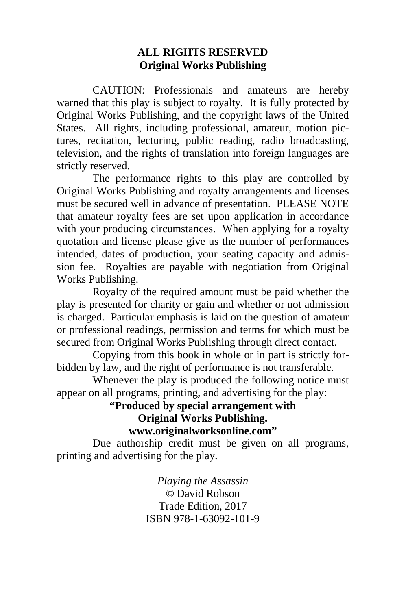#### **ALL RIGHTS RESERVED Original Works Publishing**

 CAUTION: Professionals and amateurs are hereby warned that this play is subject to royalty. It is fully protected by Original Works Publishing, and the copyright laws of the United States. All rights, including professional, amateur, motion pictures, recitation, lecturing, public reading, radio broadcasting, television, and the rights of translation into foreign languages are strictly reserved.

 The performance rights to this play are controlled by Original Works Publishing and royalty arrangements and licenses must be secured well in advance of presentation. PLEASE NOTE that amateur royalty fees are set upon application in accordance with your producing circumstances. When applying for a royalty quotation and license please give us the number of performances intended, dates of production, your seating capacity and admission fee. Royalties are payable with negotiation from Original Works Publishing.

 Royalty of the required amount must be paid whether the play is presented for charity or gain and whether or not admission is charged. Particular emphasis is laid on the question of amateur or professional readings, permission and terms for which must be secured from Original Works Publishing through direct contact.

 Copying from this book in whole or in part is strictly forbidden by law, and the right of performance is not transferable.

 Whenever the play is produced the following notice must appear on all programs, printing, and advertising for the play:

#### **"Produced by special arrangement with Original Works Publishing. www.originalworksonline.com"**

 Due authorship credit must be given on all programs, printing and advertising for the play.

> *Playing the Assassin ©* David Robson Trade Edition, 2017 ISBN 978-1-63092-101-9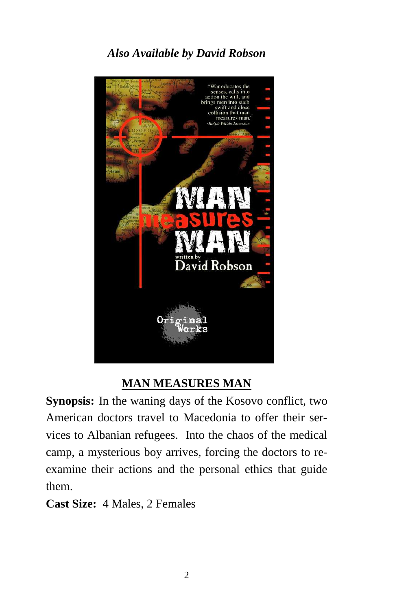# *Also Available by David Robson*



## **MAN MEASURES MAN**

**Synopsis:** In the waning days of the Kosovo conflict, two  American doctors travel to Macedonia to offer their ser- vices to Albanian refugees. Into the chaos of the medical  camp, a mysterious boy arrives, forcing the doctors to reexamine their actions and the personal ethics that guide  them.

 **Cast Size:** 4 Males, 2 Females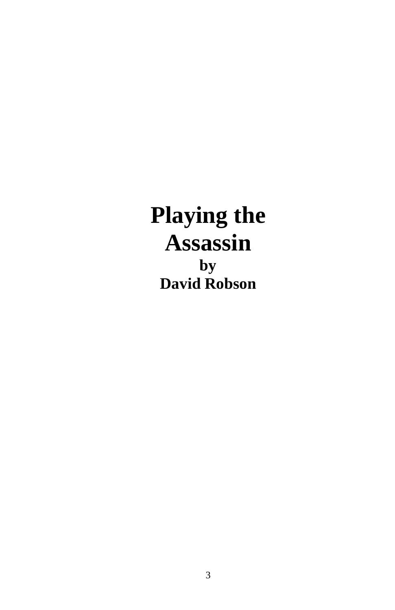# **Playing the Assassin by David Robson**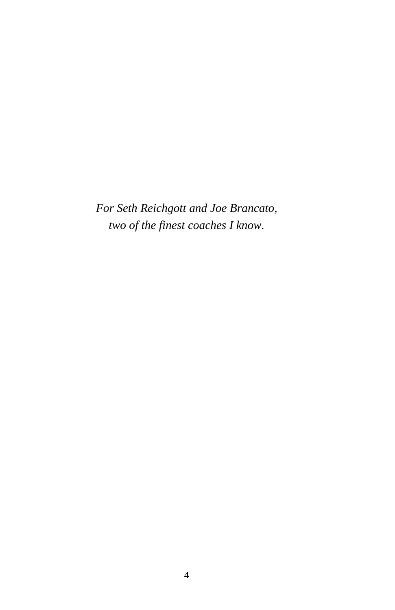*For Seth Reichgott and Joe Brancato, two of the finest coaches I know.*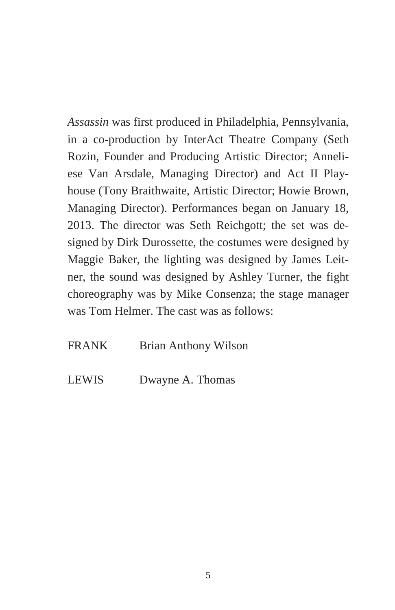*Assassin* was first produced in Philadelphia, Pennsylvania, in a co-production by InterAct Theatre Company (Seth Rozin, Founder and Producing Artistic Director; Anneliese Van Arsdale, Managing Director) and Act II Playhouse (Tony Braithwaite, Artistic Director; Howie Brown, Managing Director). Performances began on January 18, 2013. The director was Seth Reichgott; the set was designed by Dirk Durossette, the costumes were designed by Maggie Baker, the lighting was designed by James Leitner, the sound was designed by Ashley Turner, the fight choreography was by Mike Consenza; the stage manager was Tom Helmer. The cast was as follows:

#### FRANK Brian Anthony Wilson

LEWIS Dwayne A. Thomas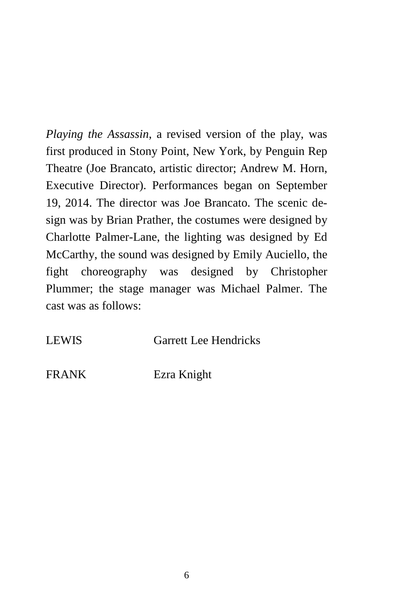*Playing the Assassin*, a revised version of the play, was first produced in Stony Point, New York, by Penguin Rep Theatre (Joe Brancato, artistic director; Andrew M. Horn, Executive Director). Performances began on September 19, 2014. The director was Joe Brancato. The scenic design was by Brian Prather, the costumes were designed by Charlotte Palmer-Lane, the lighting was designed by Ed McCarthy, the sound was designed by Emily Auciello, the fight choreography was designed by Christopher Plummer; the stage manager was Michael Palmer. The cast was as follows:

LEWIS Garrett Lee Hendricks

FRANK Ezra Knight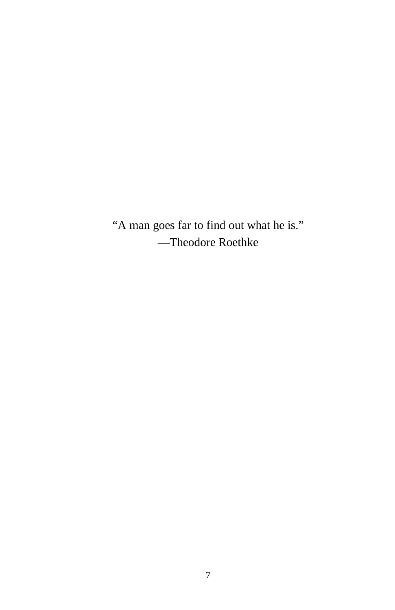"A man goes far to find out what he is." —Theodore Roethke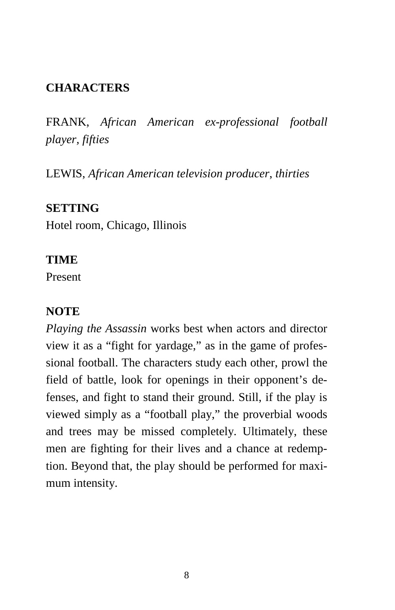# **CHARACTERS**

FRANK, *African American ex-professional football player, fifties* 

LEWIS, *African American television producer*, *thirties* 

#### **SETTING**

Hotel room, Chicago, Illinois

#### **TIME**

Present

## **NOTE**

*Playing the Assassin* works best when actors and director view it as a "fight for yardage," as in the game of professional football. The characters study each other, prowl the field of battle, look for openings in their opponent's defenses, and fight to stand their ground. Still, if the play is viewed simply as a "football play," the proverbial woods and trees may be missed completely. Ultimately, these men are fighting for their lives and a chance at redemption. Beyond that, the play should be performed for maximum intensity.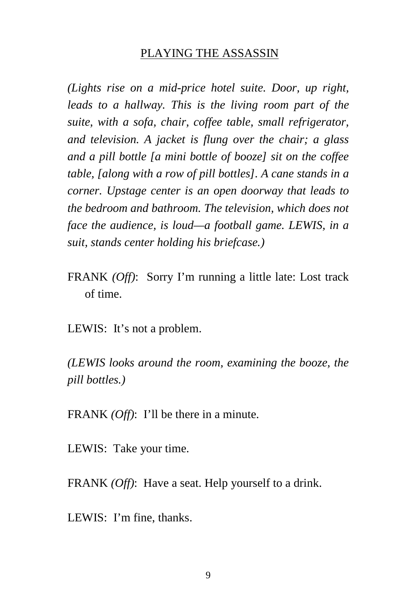#### PLAYING THE ASSASSIN

*(Lights rise on a mid-price hotel suite. Door, up right, leads to a hallway. This is the living room part of the suite, with a sofa, chair, coffee table, small refrigerator, and television. A jacket is flung over the chair; a glass and a pill bottle [a mini bottle of booze] sit on the coffee table, [along with a row of pill bottles]. A cane stands in a corner. Upstage center is an open doorway that leads to the bedroom and bathroom. The television, which does not face the audience, is loud—a football game. LEWIS, in a suit, stands center holding his briefcase.)* 

FRANK *(Off)*: Sorry I'm running a little late: Lost track of time.

LEWIS: It's not a problem.

*(LEWIS looks around the room, examining the booze, the pill bottles.)* 

FRANK *(Off)*: I'll be there in a minute.

LEWIS: Take your time.

FRANK *(Off)*: Have a seat. Help yourself to a drink.

LEWIS: I'm fine, thanks.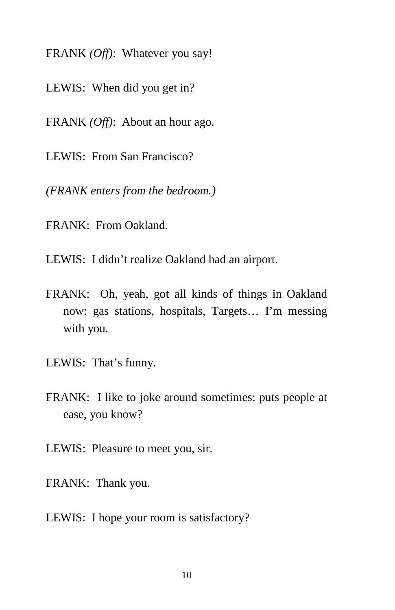- FRANK *(Off)*:Whatever you say!
- LEWIS: When did you get in?
- FRANK *(Off)*: About an hour ago.
- LEWIS: From San Francisco?

*(FRANK enters from the bedroom.)* 

- FRANK: From Oakland.
- LEWIS: I didn't realize Oakland had an airport.
- FRANK: Oh, yeah, got all kinds of things in Oakland now: gas stations, hospitals, Targets… I'm messing with you.
- LEWIS: That's funny.
- FRANK: I like to joke around sometimes: puts people at ease, you know?
- LEWIS: Pleasure to meet you, sir.
- FRANK: Thank you.
- LEWIS: I hope your room is satisfactory?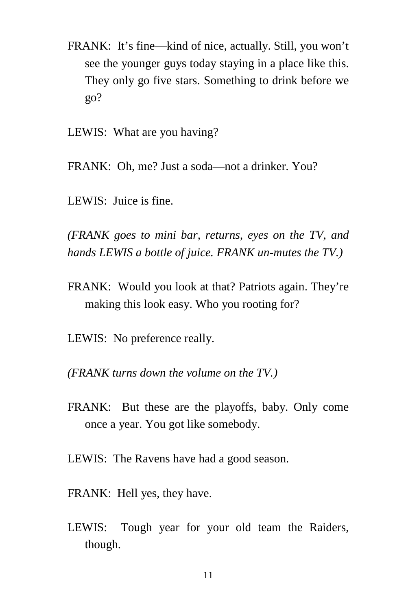- FRANK: It's fine—kind of nice, actually. Still, you won't see the younger guys today staying in a place like this. They only go five stars. Something to drink before we go?
- LEWIS: What are you having?
- FRANK: Oh, me? Just a soda—not a drinker. You?
- LEWIS: Juice is fine.

*(FRANK goes to mini bar, returns, eyes on the TV, and hands LEWIS a bottle of juice. FRANK un-mutes the TV.)* 

- FRANK: Would you look at that? Patriots again. They're making this look easy. Who you rooting for?
- LEWIS: No preference really.
- *(FRANK turns down the volume on the TV.)*
- FRANK: But these are the playoffs, baby. Only come once a year. You got like somebody.
- LEWIS: The Ravens have had a good season.
- FRANK: Hell yes, they have.
- LEWIS: Tough year for your old team the Raiders, though.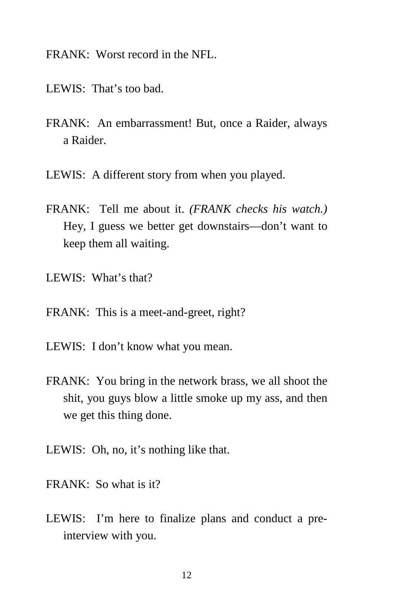FRANK: Worst record in the NFL.

- LEWIS: That's too bad.
- FRANK: An embarrassment! But, once a Raider, always a Raider.
- LEWIS: A different story from when you played.
- FRANK: Tell me about it. *(FRANK checks his watch.)* Hey, I guess we better get downstairs—don't want to keep them all waiting.
- LEWIS: What's that?
- FRANK: This is a meet-and-greet, right?
- LEWIS: I don't know what you mean.
- FRANK: You bring in the network brass, we all shoot the shit, you guys blow a little smoke up my ass, and then we get this thing done.
- LEWIS: Oh, no, it's nothing like that.
- FRANK: So what is it?
- LEWIS: I'm here to finalize plans and conduct a preinterview with you.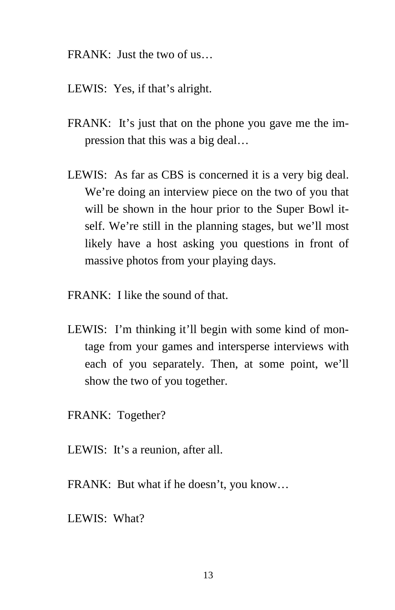- FRANK: Just the two of us…
- LEWIS: Yes, if that's alright.
- FRANK: It's just that on the phone you gave me the impression that this was a big deal…
- LEWIS: As far as CBS is concerned it is a very big deal. We're doing an interview piece on the two of you that will be shown in the hour prior to the Super Bowl itself. We're still in the planning stages, but we'll most likely have a host asking you questions in front of massive photos from your playing days.
- FRANK: I like the sound of that.
- LEWIS: I'm thinking it'll begin with some kind of montage from your games and intersperse interviews with each of you separately. Then, at some point, we'll show the two of you together.
- FRANK: Together?
- LEWIS: It's a reunion, after all.
- FRANK: But what if he doesn't, you know…
- LEWIS: What?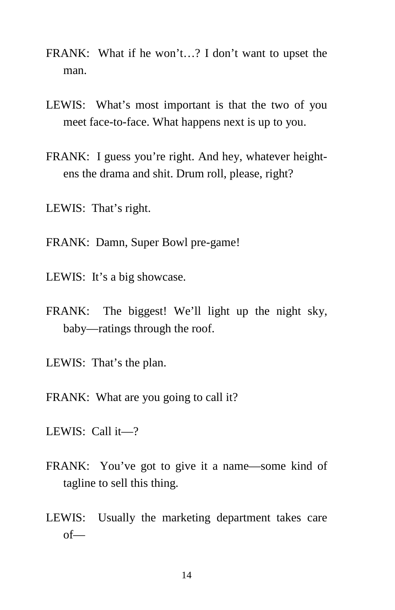- FRANK: What if he won't…? I don't want to upset the man.
- LEWIS: What's most important is that the two of you meet face-to-face. What happens next is up to you.
- FRANK: I guess you're right. And hey, whatever heightens the drama and shit. Drum roll, please, right?
- LEWIS: That's right.
- FRANK: Damn, Super Bowl pre-game!
- LEWIS: It's a big showcase.
- FRANK: The biggest! We'll light up the night sky, baby—ratings through the roof.
- LEWIS: That's the plan.
- FRANK: What are you going to call it?
- LEWIS: Call it—?
- FRANK: You've got to give it a name—some kind of tagline to sell this thing.
- LEWIS: Usually the marketing department takes care of—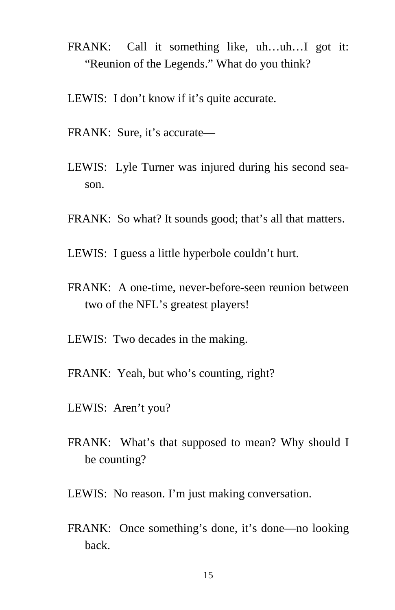- FRANK: Call it something like, uh…uh…I got it: "Reunion of the Legends." What do you think?
- LEWIS: I don't know if it's quite accurate.
- FRANK: Sure, it's accurate—
- LEWIS: Lyle Turner was injured during his second season.
- FRANK: So what? It sounds good; that's all that matters.
- LEWIS: I guess a little hyperbole couldn't hurt.
- FRANK: A one-time, never-before-seen reunion between two of the NFL's greatest players!
- LEWIS: Two decades in the making.
- FRANK: Yeah, but who's counting, right?
- LEWIS: Aren't you?
- FRANK: What's that supposed to mean? Why should I be counting?
- LEWIS: No reason. I'm just making conversation.
- FRANK: Once something's done, it's done—no looking back.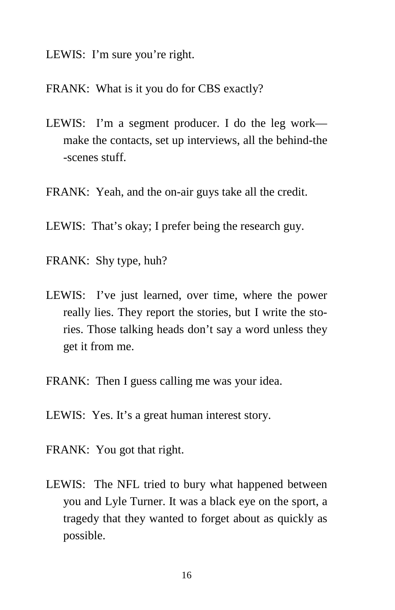- LEWIS: I'm sure you're right.
- FRANK: What is it you do for CBS exactly?
- LEWIS: I'm a segment producer. I do the leg work make the contacts, set up interviews, all the behind-the -scenes stuff.
- FRANK: Yeah, and the on-air guys take all the credit.
- LEWIS: That's okay; I prefer being the research guy.
- FRANK: Shy type, huh?
- LEWIS: I've just learned, over time, where the power really lies. They report the stories, but I write the stories. Those talking heads don't say a word unless they get it from me.
- FRANK: Then I guess calling me was your idea.
- LEWIS: Yes. It's a great human interest story.
- FRANK: You got that right.
- LEWIS: The NFL tried to bury what happened between you and Lyle Turner. It was a black eye on the sport, a tragedy that they wanted to forget about as quickly as possible.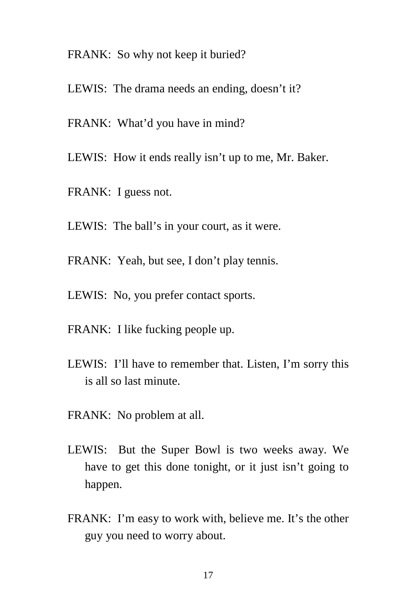- FRANK: So why not keep it buried?
- LEWIS: The drama needs an ending, doesn't it?
- FRANK: What'd you have in mind?
- LEWIS: How it ends really isn't up to me, Mr. Baker.
- FRANK: I guess not.
- LEWIS: The ball's in your court, as it were.
- FRANK: Yeah, but see, I don't play tennis.
- LEWIS: No, you prefer contact sports.
- FRANK: I like fucking people up.
- LEWIS: I'll have to remember that. Listen, I'm sorry this is all so last minute.
- FRANK: No problem at all.
- LEWIS: But the Super Bowl is two weeks away. We have to get this done tonight, or it just isn't going to happen.
- FRANK: I'm easy to work with, believe me. It's the other guy you need to worry about.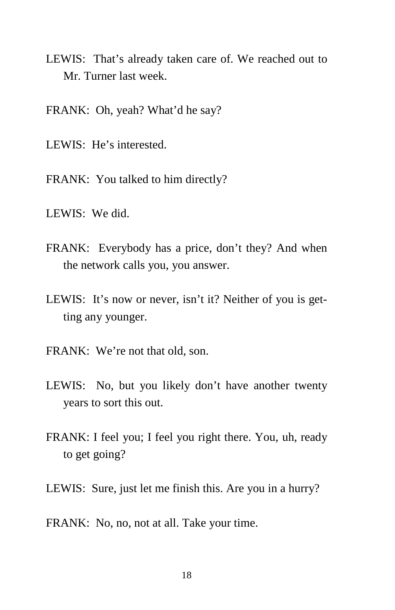- LEWIS: That's already taken care of. We reached out to Mr. Turner last week.
- FRANK: Oh, yeah? What'd he say?
- LEWIS: He's interested.
- FRANK: You talked to him directly?
- LEWIS: We did.
- FRANK: Everybody has a price, don't they? And when the network calls you, you answer.
- LEWIS: It's now or never, isn't it? Neither of you is getting any younger.
- FRANK: We're not that old, son.
- LEWIS: No, but you likely don't have another twenty years to sort this out.
- FRANK: I feel you; I feel you right there. You, uh, ready to get going?
- LEWIS: Sure, just let me finish this. Are you in a hurry?
- FRANK: No, no, not at all. Take your time.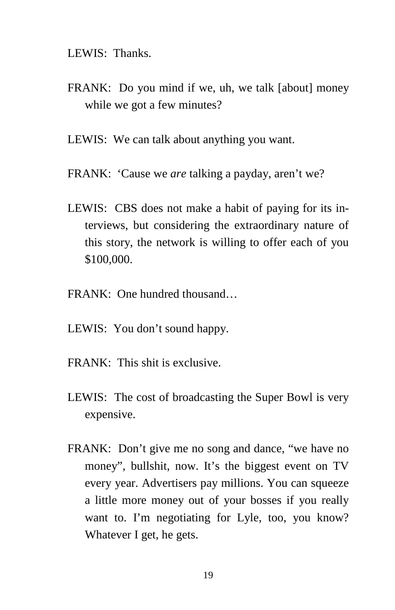LEWIS: Thanks.

- FRANK: Do you mind if we, uh, we talk [about] money while we got a few minutes?
- LEWIS: We can talk about anything you want.
- FRANK: 'Cause we *are* talking a payday, aren't we?
- LEWIS: CBS does not make a habit of paying for its interviews, but considering the extraordinary nature of this story, the network is willing to offer each of you \$100,000.
- FRANK: One hundred thousand…
- LEWIS: You don't sound happy.
- $FRANK$ : This shit is exclusive.
- LEWIS: The cost of broadcasting the Super Bowl is very expensive.
- FRANK: Don't give me no song and dance, "we have no money", bullshit, now. It's the biggest event on TV every year. Advertisers pay millions. You can squeeze a little more money out of your bosses if you really want to. I'm negotiating for Lyle, too, you know? Whatever I get, he gets.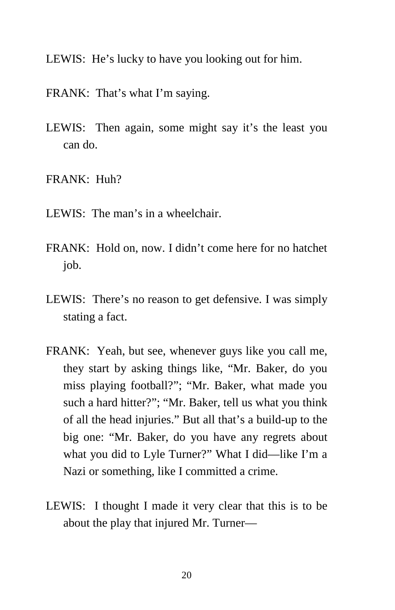- LEWIS: He's lucky to have you looking out for him.
- FRANK: That's what I'm saying.
- LEWIS: Then again, some might say it's the least you can do.
- FRANK: Huh?
- LEWIS: The man's in a wheelchair.
- FRANK: Hold on, now. I didn't come here for no hatchet job.
- LEWIS: There's no reason to get defensive. I was simply stating a fact.
- FRANK: Yeah, but see, whenever guys like you call me, they start by asking things like, "Mr. Baker, do you miss playing football?"; "Mr. Baker, what made you such a hard hitter?"; "Mr. Baker, tell us what you think of all the head injuries." But all that's a build-up to the big one: "Mr. Baker, do you have any regrets about what you did to Lyle Turner?" What I did—like I'm a Nazi or something, like I committed a crime.
- LEWIS: I thought I made it very clear that this is to be about the play that injured Mr. Turner—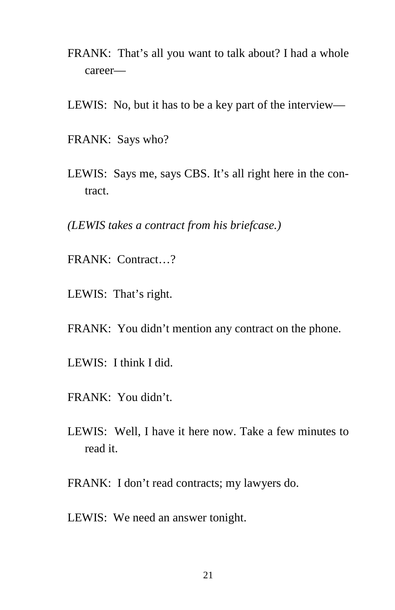- FRANK: That's all you want to talk about? I had a whole career—
- LEWIS: No, but it has to be a key part of the interview—
- FRANK: Says who?
- LEWIS: Says me, says CBS. It's all right here in the contract.
- *(LEWIS takes a contract from his briefcase.)*
- FRANK: Contract…?
- LEWIS: That's right.
- FRANK: You didn't mention any contract on the phone.
- LEWIS: I think I did.
- FRANK: You didn't.
- LEWIS: Well, I have it here now. Take a few minutes to read it.
- FRANK: I don't read contracts; my lawyers do.
- LEWIS: We need an answer tonight.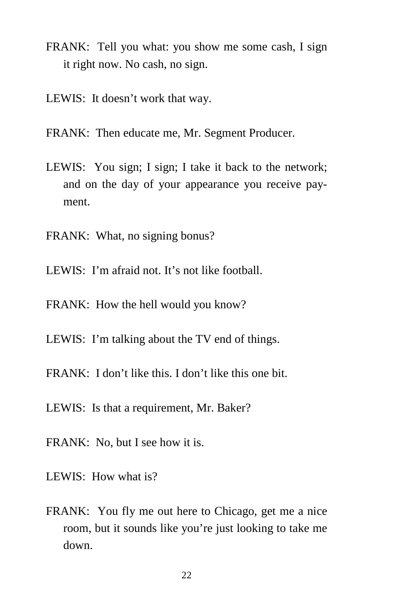- FRANK: Tell you what: you show me some cash, I sign it right now. No cash, no sign.
- LEWIS: It doesn't work that way.
- FRANK: Then educate me, Mr. Segment Producer.
- LEWIS: You sign; I sign; I take it back to the network; and on the day of your appearance you receive payment.
- FRANK: What, no signing bonus?
- LEWIS: I'm afraid not. It's not like football.
- FRANK: How the hell would you know?
- LEWIS: I'm talking about the TV end of things.
- FRANK: I don't like this. I don't like this one bit.
- LEWIS: Is that a requirement, Mr. Baker?
- FRANK: No, but I see how it is.
- LEWIS: How what is?
- FRANK: You fly me out here to Chicago, get me a nice room, but it sounds like you're just looking to take me down.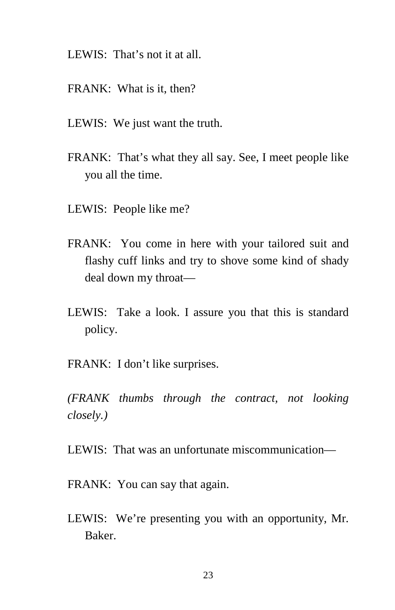- LEWIS: That's not it at all.
- FRANK: What is it, then?
- LEWIS: We just want the truth.
- FRANK: That's what they all say. See, I meet people like you all the time.
- LEWIS: People like me?
- FRANK: You come in here with your tailored suit and flashy cuff links and try to shove some kind of shady deal down my throat—
- LEWIS: Take a look. I assure you that this is standard policy.
- FRANK: I don't like surprises.

*(FRANK thumbs through the contract, not looking closely.)* 

LEWIS: That was an unfortunate miscommunication—

- FRANK: You can say that again.
- LEWIS: We're presenting you with an opportunity, Mr. Baker.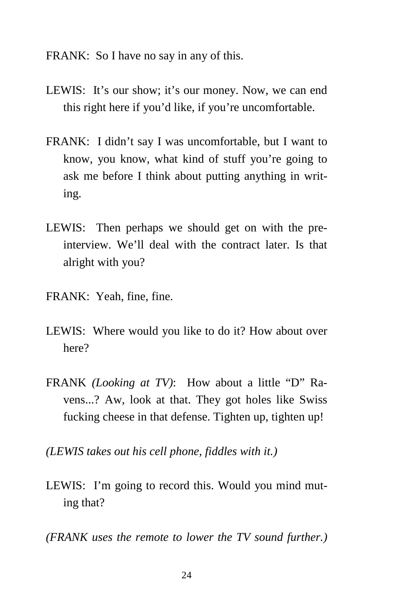FRANK: So I have no say in any of this.

- LEWIS: It's our show; it's our money. Now, we can end this right here if you'd like, if you're uncomfortable.
- FRANK: I didn't say I was uncomfortable, but I want to know, you know, what kind of stuff you're going to ask me before I think about putting anything in writing.
- LEWIS: Then perhaps we should get on with the preinterview. We'll deal with the contract later. Is that alright with you?
- FRANK: Yeah, fine, fine.
- LEWIS: Where would you like to do it? How about over here?
- FRANK *(Looking at TV)*: How about a little "D" Ravens...? Aw, look at that. They got holes like Swiss fucking cheese in that defense. Tighten up, tighten up!
- *(LEWIS takes out his cell phone, fiddles with it.)*
- LEWIS: I'm going to record this. Would you mind muting that?
- *(FRANK uses the remote to lower the TV sound further.)*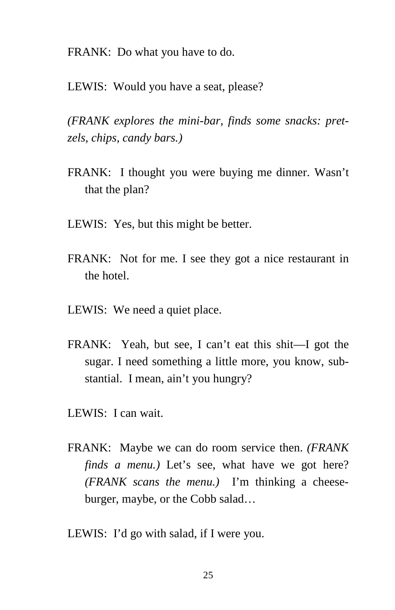FRANK: Do what you have to do.

LEWIS: Would you have a seat, please?

*(FRANK explores the mini-bar, finds some snacks: pretzels, chips, candy bars.)* 

- FRANK: I thought you were buying me dinner. Wasn't that the plan?
- LEWIS: Yes, but this might be better.
- FRANK: Not for me. I see they got a nice restaurant in the hotel.
- LEWIS: We need a quiet place.
- FRANK: Yeah, but see, I can't eat this shit—I got the sugar. I need something a little more, you know, substantial. I mean, ain't you hungry?
- LEWIS: I can wait.
- FRANK: Maybe we can do room service then. *(FRANK finds a menu.)* Let's see, what have we got here? *(FRANK scans the menu.)* I'm thinking a cheeseburger, maybe, or the Cobb salad…
- LEWIS: I'd go with salad, if I were you.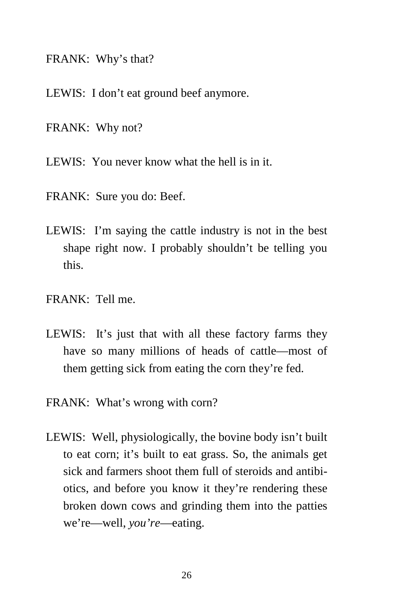FRANK: Why's that?

LEWIS: I don't eat ground beef anymore.

FRANK: Why not?

LEWIS: You never know what the hell is in it.

- FRANK: Sure you do: Beef.
- LEWIS: I'm saying the cattle industry is not in the best shape right now. I probably shouldn't be telling you this.
- FRANK: Tell me.
- LEWIS: It's just that with all these factory farms they have so many millions of heads of cattle—most of them getting sick from eating the corn they're fed.
- FRANK: What's wrong with corn?
- LEWIS: Well, physiologically, the bovine body isn't built to eat corn; it's built to eat grass. So, the animals get sick and farmers shoot them full of steroids and antibiotics, and before you know it they're rendering these broken down cows and grinding them into the patties we're—well, *you're*—eating.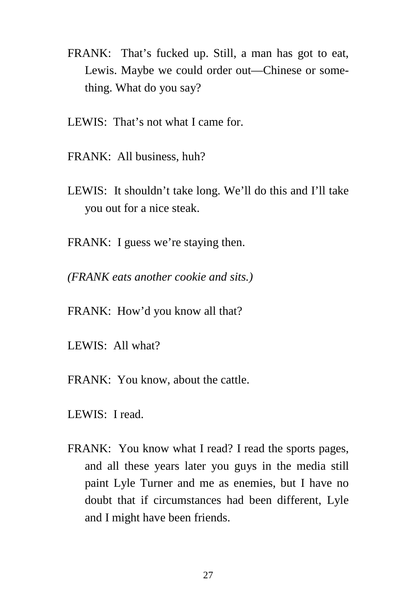- FRANK: That's fucked up. Still, a man has got to eat, Lewis. Maybe we could order out—Chinese or something. What do you say?
- LEWIS: That's not what I came for.
- FRANK: All business, huh?
- LEWIS: It shouldn't take long. We'll do this and I'll take you out for a nice steak.
- FRANK: I guess we're staying then.
- *(FRANK eats another cookie and sits.)*
- FRANK: How'd you know all that?
- LEWIS: All what?
- FRANK: You know, about the cattle.
- LEWIS: I read.
- FRANK: You know what I read? I read the sports pages, and all these years later you guys in the media still paint Lyle Turner and me as enemies, but I have no doubt that if circumstances had been different, Lyle and I might have been friends.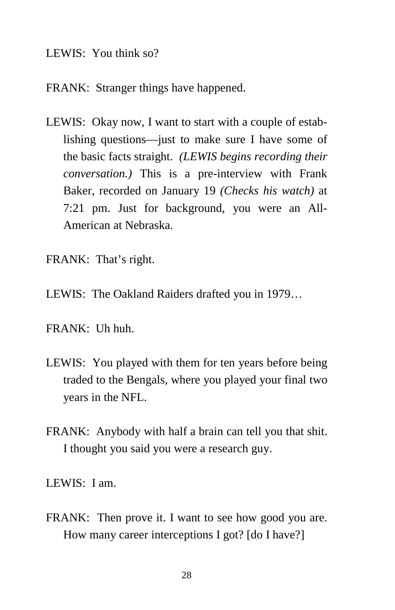#### LEWIS: You think so?

#### FRANK: Stranger things have happened.

- LEWIS: Okay now, I want to start with a couple of establishing questions—just to make sure I have some of the basic facts straight. *(LEWIS begins recording their conversation.)* This is a pre-interview with Frank Baker, recorded on January 19 *(Checks his watch)* at 7:21 pm. Just for background, you were an All-American at Nebraska.
- FRANK: That's right.
- LEWIS: The Oakland Raiders drafted you in 1979…
- FRANK: Uh huh.
- LEWIS: You played with them for ten years before being traded to the Bengals, where you played your final two years in the NFL.
- FRANK: Anybody with half a brain can tell you that shit. I thought you said you were a research guy.

LEWIS: I am.

FRANK: Then prove it. I want to see how good you are. How many career interceptions I got? [do I have?]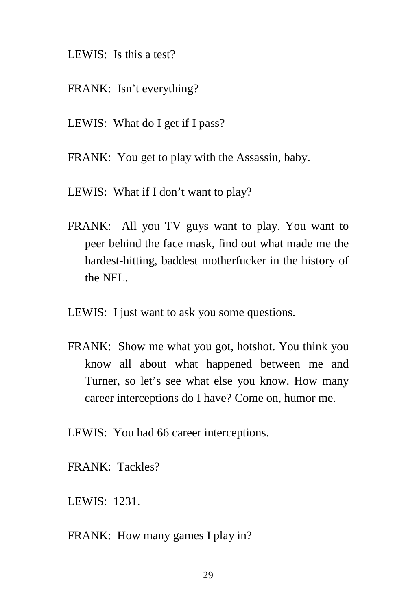- LEWIS: Is this a test?
- FRANK: Isn't everything?
- LEWIS: What do I get if I pass?
- FRANK: You get to play with the Assassin, baby.
- LEWIS: What if I don't want to play?
- FRANK: All you TV guys want to play. You want to peer behind the face mask, find out what made me the hardest-hitting, baddest motherfucker in the history of the NFL.
- LEWIS: I just want to ask you some questions.
- FRANK: Show me what you got, hotshot. You think you know all about what happened between me and Turner, so let's see what else you know. How many career interceptions do I have? Come on, humor me.
- LEWIS: You had 66 career interceptions.
- FRANK: Tackles?
- LEWIS: 1231.
- FRANK: How many games I play in?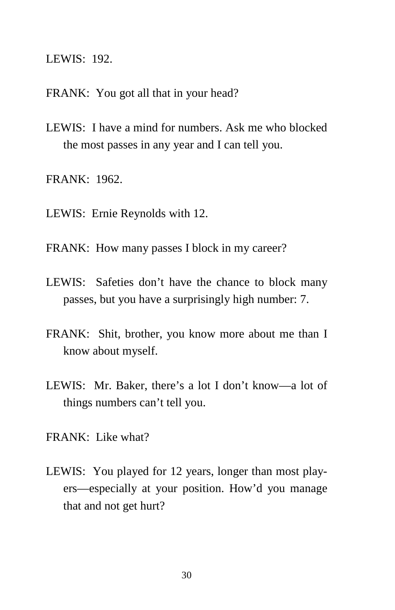LEWIS: 192.

- FRANK: You got all that in your head?
- LEWIS: I have a mind for numbers. Ask me who blocked the most passes in any year and I can tell you.
- FRANK: 1962.
- LEWIS: Ernie Reynolds with 12.
- FRANK: How many passes I block in my career?
- LEWIS: Safeties don't have the chance to block many passes, but you have a surprisingly high number: 7.
- FRANK: Shit, brother, you know more about me than I know about myself.
- LEWIS: Mr. Baker, there's a lot I don't know—a lot of things numbers can't tell you.
- $FRANK$ : Like what?
- LEWIS: You played for 12 years, longer than most players—especially at your position. How'd you manage that and not get hurt?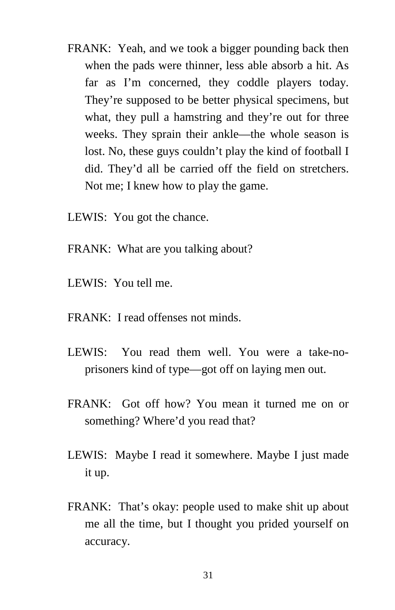- FRANK: Yeah, and we took a bigger pounding back then when the pads were thinner, less able absorb a hit. As far as I'm concerned, they coddle players today. They're supposed to be better physical specimens, but what, they pull a hamstring and they're out for three weeks. They sprain their ankle—the whole season is lost. No, these guys couldn't play the kind of football I did. They'd all be carried off the field on stretchers. Not me; I knew how to play the game.
- LEWIS: You got the chance.
- FRANK: What are you talking about?
- LEWIS: You tell me.
- FRANK: I read offenses not minds.
- LEWIS: You read them well. You were a take-noprisoners kind of type—got off on laying men out.
- FRANK: Got off how? You mean it turned me on or something? Where'd you read that?
- LEWIS: Maybe I read it somewhere. Maybe I just made it up.
- FRANK: That's okay: people used to make shit up about me all the time, but I thought you prided yourself on accuracy.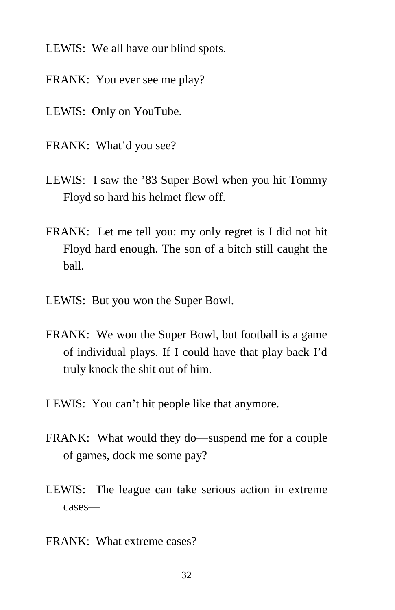- LEWIS: We all have our blind spots.
- FRANK: You ever see me play?
- LEWIS: Only on YouTube.
- FRANK: What'd you see?
- LEWIS: I saw the '83 Super Bowl when you hit Tommy Floyd so hard his helmet flew off.
- FRANK: Let me tell you: my only regret is I did not hit Floyd hard enough. The son of a bitch still caught the ball.
- LEWIS: But you won the Super Bowl.
- FRANK: We won the Super Bowl, but football is a game of individual plays. If I could have that play back I'd truly knock the shit out of him.
- LEWIS: You can't hit people like that anymore.
- FRANK: What would they do—suspend me for a couple of games, dock me some pay?
- LEWIS: The league can take serious action in extreme cases—
- FRANK: What extreme cases?